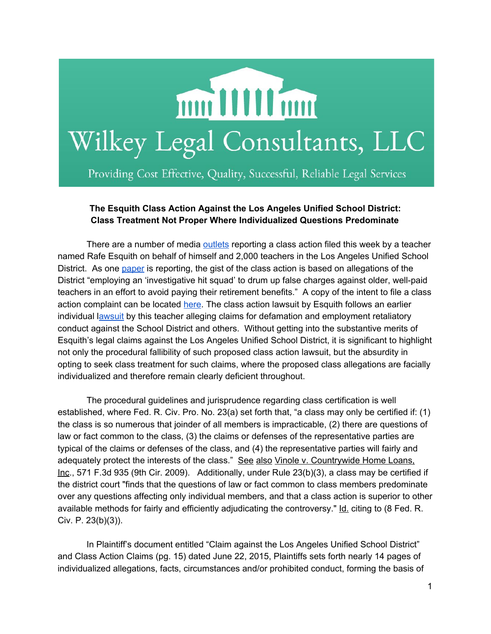

Providing Cost Effective, Quality, Successful, Reliable Legal Services

## **The Esquith Class Action Against the Los Angeles Unified School District: Class Treatment Not Proper Where Individualized Questions Predominate**

There are a number of media [outlets](http://www.cnn.com/2015/10/15/us/los-angeles-teacher-class-action-lawsuit-rafe-esquith/index.html) reporting a class action filed this week by a teacher named Rafe Esquith on behalf of himself and 2,000 teachers in the Los Angeles Unified School District. As one [paper](http://www.latimes.com/local/lanow/la-me-ln-teacher-esquith-class-action-lawsuit-20151015-story.html) is reporting, the gist of the class action is based on allegations of the District "employing an 'investigative hit squad' to drum up false charges against older, well-paid teachers in an effort to avoid paying their retirement benefits." A copy of the intent to file a class action complaint can be located [here](http://laschoolreport.com/wp-content/uploads/2015/07/910-Claim-to-LAUSD-stamped.pdf). The class action lawsuit by Esquith follows an earlier individual [lawsuit](https://assets.documentcloud.org/documents/2274332/rafe-esquiths-lawsuit-against-lausd.pdf) by this teacher alleging claims for defamation and employment retaliatory conduct against the School District and others. Without getting into the substantive merits of Esquith's legal claims against the Los Angeles Unified School District, it is significant to highlight not only the procedural fallibility of such proposed class action lawsuit, but the absurdity in opting to seek class treatment for such claims, where the proposed class allegations are facially individualized and therefore remain clearly deficient throughout.

The procedural guidelines and jurisprudence regarding class certification is well established, where Fed. R. Civ. Pro. No. 23(a) set forth that, "a class may only be certified if: (1) the class is so numerous that joinder of all members is impracticable, (2) there are questions of law or fact common to the class, (3) the claims or defenses of the representative parties are typical of the claims or defenses of the class, and (4) the representative parties will fairly and adequately protect the interests of the class." See also Vinole v. Countrywide Home Loans, Inc., 571 F.3d 935 (9th Cir. 2009). Additionally, under Rule 23(b)(3), a class may be certified if the district court "finds that the questions of law or fact common to class members predominate over any questions affecting only individual members, and that a class action is superior to other available methods for fairly and efficiently adjudicating the controversy." Id. citing to (8 Fed. R. Civ. P. 23(b)(3)).

In Plaintiff's document entitled "Claim against the Los Angeles Unified School District" and Class Action Claims (pg. 15) dated June 22, 2015, Plaintiffs sets forth nearly 14 pages of individualized allegations, facts, circumstances and/or prohibited conduct, forming the basis of